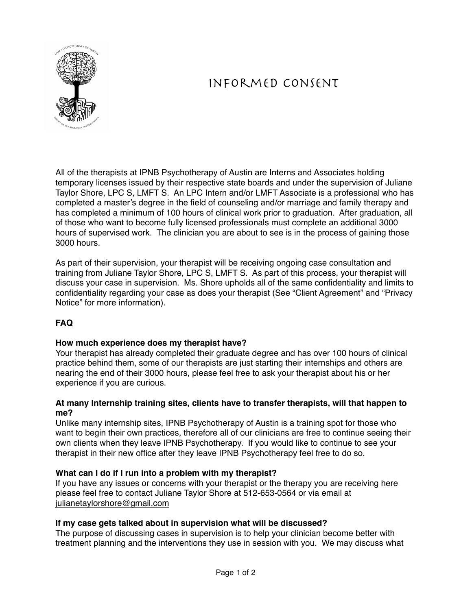

# Informed Consent

All of the therapists at IPNB Psychotherapy of Austin are Interns and Associates holding temporary licenses issued by their respective state boards and under the supervision of Juliane Taylor Shore, LPC S, LMFT S. An LPC Intern and/or LMFT Associate is a professional who has completed a master's degree in the field of counseling and/or marriage and family therapy and has completed a minimum of 100 hours of clinical work prior to graduation. After graduation, all of those who want to become fully licensed professionals must complete an additional 3000 hours of supervised work. The clinician you are about to see is in the process of gaining those 3000 hours.

As part of their supervision, your therapist will be receiving ongoing case consultation and training from Juliane Taylor Shore, LPC S, LMFT S. As part of this process, your therapist will discuss your case in supervision. Ms. Shore upholds all of the same confidentiality and limits to confidentiality regarding your case as does your therapist (See "Client Agreement" and "Privacy Notice" for more information).

## **FAQ**

### **How much experience does my therapist have?**

Your therapist has already completed their graduate degree and has over 100 hours of clinical practice behind them, some of our therapists are just starting their internships and others are nearing the end of their 3000 hours, please feel free to ask your therapist about his or her experience if you are curious.

### **At many Internship training sites, clients have to transfer therapists, will that happen to me?**

Unlike many internship sites, IPNB Psychotherapy of Austin is a training spot for those who want to begin their own practices, therefore all of our clinicians are free to continue seeing their own clients when they leave IPNB Psychotherapy. If you would like to continue to see your therapist in their new office after they leave IPNB Psychotherapy feel free to do so.

### **What can I do if I run into a problem with my therapist?**

If you have any issues or concerns with your therapist or the therapy you are receiving here please feel free to contact Juliane Taylor Shore at 512-653-0564 or via email at [julianetaylorshore@gmail.com](mailto:julianetaylorshore@gmail.com)

### **If my case gets talked about in supervision what will be discussed?**

The purpose of discussing cases in supervision is to help your clinician become better with treatment planning and the interventions they use in session with you. We may discuss what